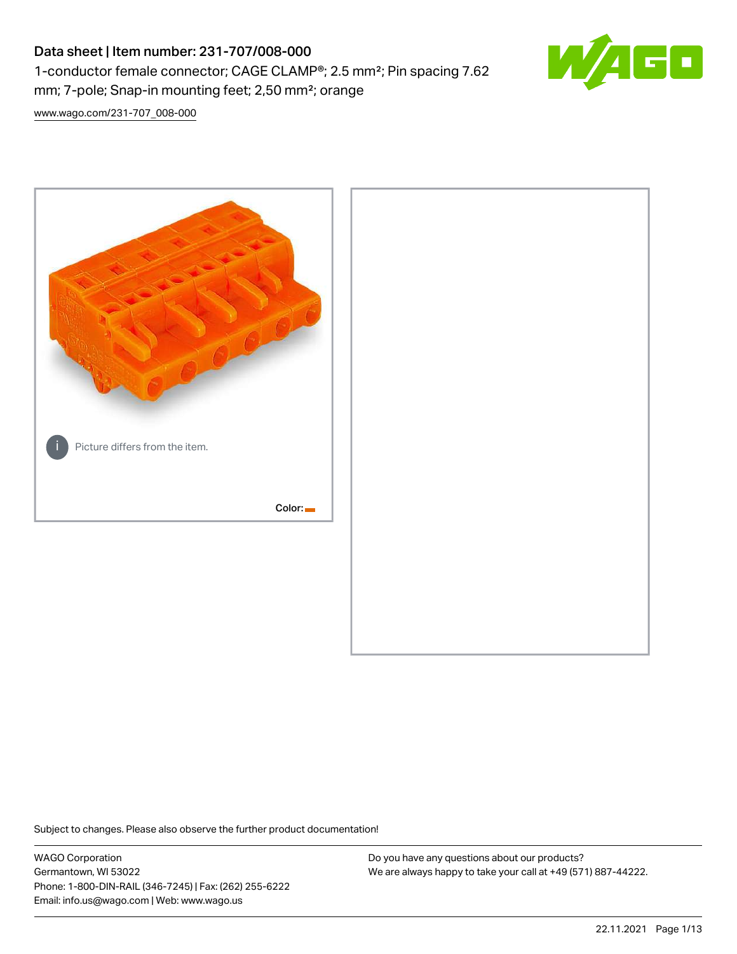# Data sheet | Item number: 231-707/008-000 1-conductor female connector; CAGE CLAMP®; 2.5 mm²; Pin spacing 7.62 mm; 7-pole; Snap-in mounting feet; 2,50 mm²; orange



[www.wago.com/231-707\\_008-000](http://www.wago.com/231-707_008-000)



Subject to changes. Please also observe the further product documentation!

WAGO Corporation Germantown, WI 53022 Phone: 1-800-DIN-RAIL (346-7245) | Fax: (262) 255-6222 Email: info.us@wago.com | Web: www.wago.us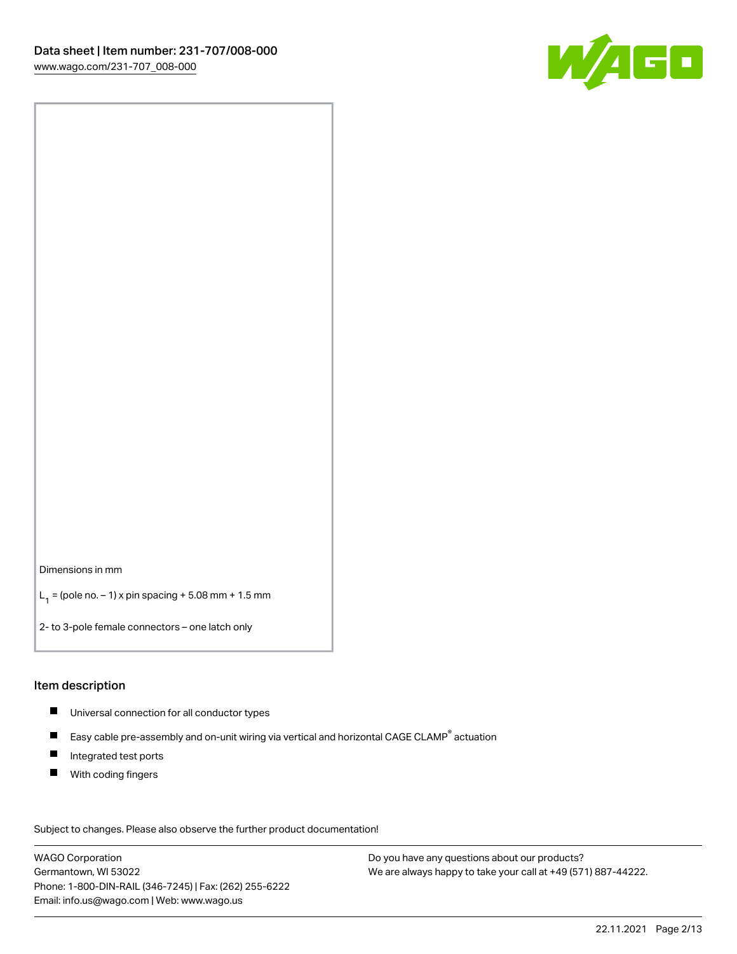

Dimensions in mm

 $L_1 =$  (pole no.  $-1$ ) x pin spacing + 5.08 mm + 1.5 mm

2- to 3-pole female connectors – one latch only

#### Item description

- Universal connection for all conductor types
- $\blacksquare$ Easy cable pre-assembly and on-unit wiring via vertical and horizontal CAGE CLAMP<sup>®</sup> actuation
- $\blacksquare$ Integrated test ports
- $\blacksquare$ With coding fingers

Subject to changes. Please also observe the further product documentation! Data

WAGO Corporation Germantown, WI 53022 Phone: 1-800-DIN-RAIL (346-7245) | Fax: (262) 255-6222 Email: info.us@wago.com | Web: www.wago.us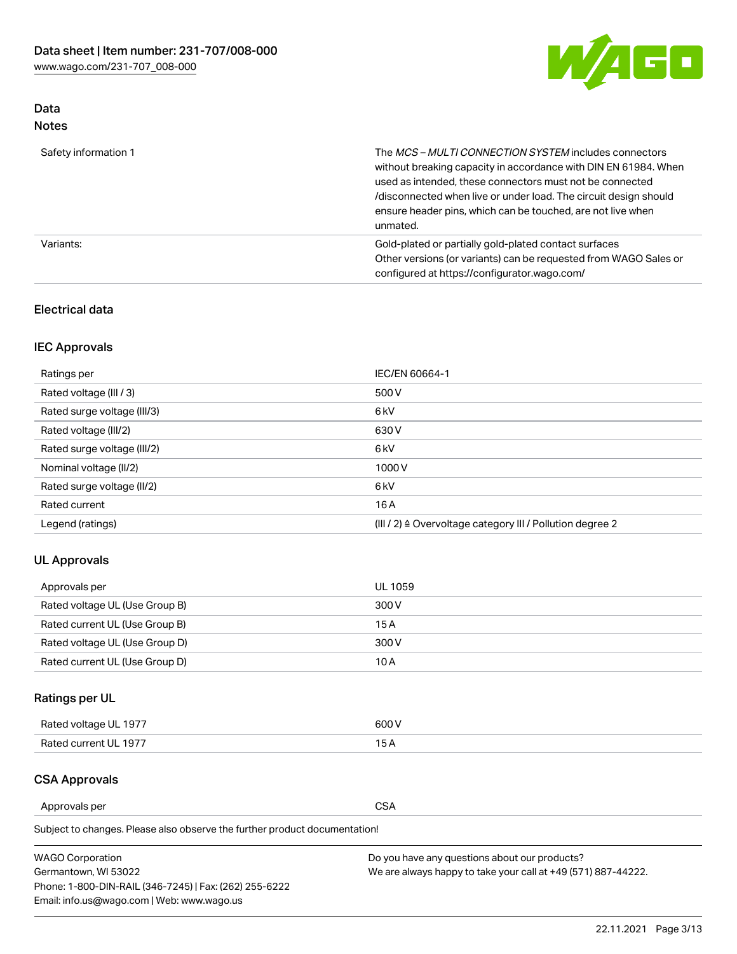

## Data Notes

| Safety information 1 | The <i>MCS – MULTI CONNECTION SYSTEM</i> includes connectors<br>without breaking capacity in accordance with DIN EN 61984. When<br>used as intended, these connectors must not be connected<br>/disconnected when live or under load. The circuit design should<br>ensure header pins, which can be touched, are not live when<br>unmated. |
|----------------------|--------------------------------------------------------------------------------------------------------------------------------------------------------------------------------------------------------------------------------------------------------------------------------------------------------------------------------------------|
| Variants:            | Gold-plated or partially gold-plated contact surfaces<br>Other versions (or variants) can be requested from WAGO Sales or<br>configured at https://configurator.wago.com/                                                                                                                                                                  |

#### Electrical data

# IEC Approvals

| Ratings per                 | IEC/EN 60664-1                                                        |
|-----------------------------|-----------------------------------------------------------------------|
| Rated voltage (III / 3)     | 500 V                                                                 |
| Rated surge voltage (III/3) | 6 <sub>kV</sub>                                                       |
| Rated voltage (III/2)       | 630 V                                                                 |
| Rated surge voltage (III/2) | 6 <sub>kV</sub>                                                       |
| Nominal voltage (II/2)      | 1000V                                                                 |
| Rated surge voltage (II/2)  | 6 <sub>kV</sub>                                                       |
| Rated current               | 16A                                                                   |
| Legend (ratings)            | $(III / 2)$ $\triangle$ Overvoltage category III / Pollution degree 2 |

### UL Approvals

| Approvals per                  | UL 1059 |
|--------------------------------|---------|
| Rated voltage UL (Use Group B) | 300 V   |
| Rated current UL (Use Group B) | 15 A    |
| Rated voltage UL (Use Group D) | 300 V   |
| Rated current UL (Use Group D) | 10 A    |

# Ratings per UL

| Rated voltage UL 1977 | 600 V         |
|-----------------------|---------------|
| Rated current UL 1977 | $\sim$ $\sim$ |

#### CSA Approvals

Approvals per CSA

Subject to changes. Please also observe the further product documentation!

| <b>WAGO Corporation</b>                                | Do you have any questions about our products?                 |
|--------------------------------------------------------|---------------------------------------------------------------|
| Germantown, WI 53022                                   | We are always happy to take your call at +49 (571) 887-44222. |
| Phone: 1-800-DIN-RAIL (346-7245)   Fax: (262) 255-6222 |                                                               |
| Email: info.us@wago.com   Web: www.wago.us             |                                                               |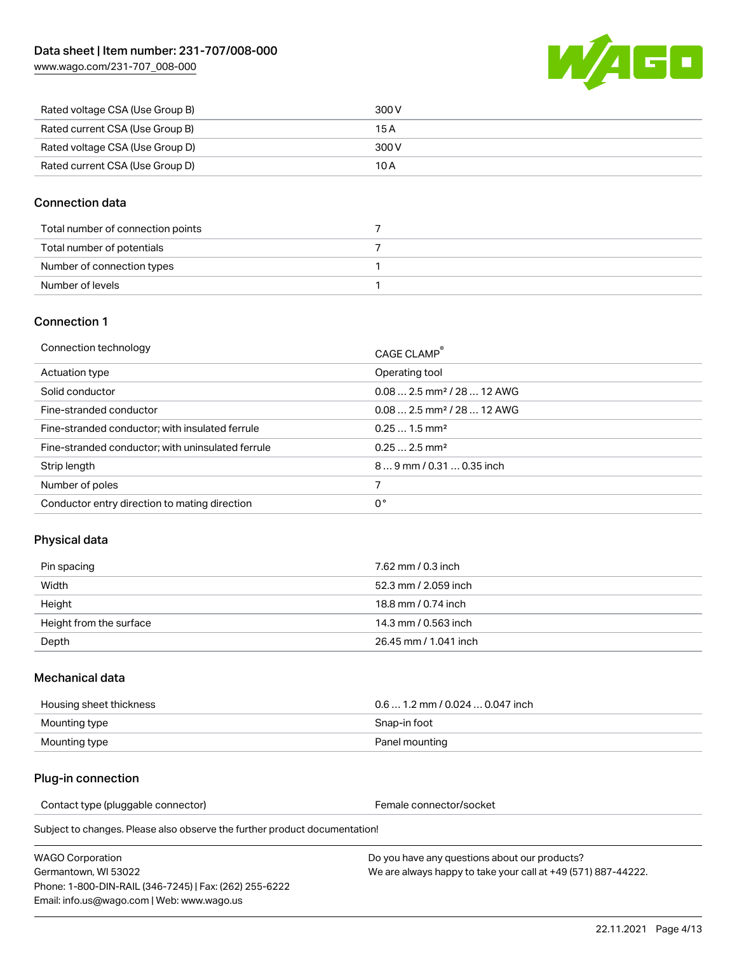

| Rated voltage CSA (Use Group B) | 300 V |
|---------------------------------|-------|
| Rated current CSA (Use Group B) | 15 A  |
| Rated voltage CSA (Use Group D) | 300 V |
| Rated current CSA (Use Group D) | 10 A  |

#### Connection data

| Total number of connection points |  |
|-----------------------------------|--|
| Total number of potentials        |  |
| Number of connection types        |  |
| Number of levels                  |  |

#### Connection 1

| Connection technology                             | CAGE CLAMP®                            |
|---------------------------------------------------|----------------------------------------|
| Actuation type                                    | Operating tool                         |
| Solid conductor                                   | $0.082.5$ mm <sup>2</sup> / 28  12 AWG |
| Fine-stranded conductor                           | $0.082.5$ mm <sup>2</sup> / 28  12 AWG |
| Fine-stranded conductor; with insulated ferrule   | $0.251.5$ mm <sup>2</sup>              |
| Fine-stranded conductor; with uninsulated ferrule | $0.252.5$ mm <sup>2</sup>              |
| Strip length                                      | $89$ mm $/ 0.310.35$ inch              |
| Number of poles                                   |                                        |
| Conductor entry direction to mating direction     | 0°                                     |

### Physical data

| Pin spacing             | 7.62 mm / 0.3 inch    |
|-------------------------|-----------------------|
| Width                   | 52.3 mm / 2.059 inch  |
| Height                  | 18.8 mm / 0.74 inch   |
| Height from the surface | 14.3 mm / 0.563 inch  |
| Depth                   | 26.45 mm / 1.041 inch |

#### Mechanical data

| Housing sheet thickness | $0.61.2$ mm / 0.024  0.047 inch |
|-------------------------|---------------------------------|
| Mounting type           | Snap-in foot                    |
| Mounting type           | Panel mounting                  |

#### Plug-in connection

Contact type (pluggable connector) example a set of the Female connector/socket

Subject to changes. Please also observe the further product documentation!

| WAGO Corporation                                       |  |
|--------------------------------------------------------|--|
| Germantown. WI 53022                                   |  |
| Phone: 1-800-DIN-RAIL (346-7245)   Fax: (262) 255-6222 |  |
| Email: info.us@wago.com   Web: www.wago.us             |  |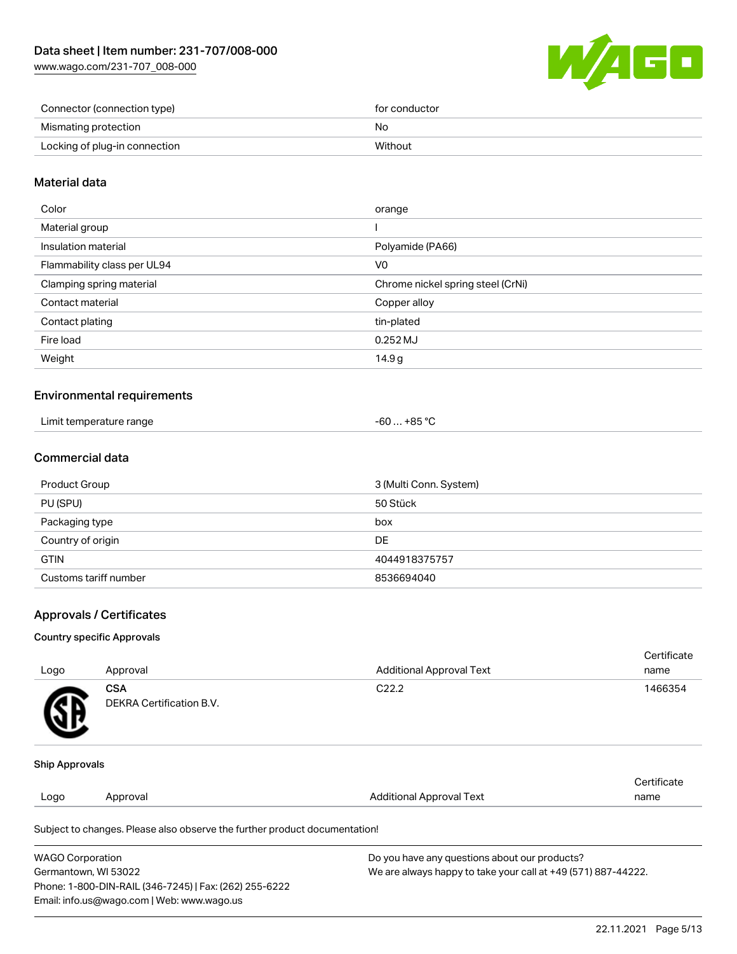

| Connector (connection type)   | for conductor |
|-------------------------------|---------------|
| Mismating protection          | No            |
| Locking of plug-in connection | Without       |

#### Material data

| Color                       | orange                            |
|-----------------------------|-----------------------------------|
| Material group              |                                   |
| Insulation material         | Polyamide (PA66)                  |
| Flammability class per UL94 | V0                                |
| Clamping spring material    | Chrome nickel spring steel (CrNi) |
| Contact material            | Copper alloy                      |
| Contact plating             | tin-plated                        |
| Fire load                   | $0.252$ MJ                        |
| Weight                      | 14.9 <sub>g</sub>                 |
|                             |                                   |

#### Environmental requirements

| Limit temperature range | .+85 °C<br>-60 |
|-------------------------|----------------|
|-------------------------|----------------|

### Commercial data

| Product Group         | 3 (Multi Conn. System) |
|-----------------------|------------------------|
| PU (SPU)              | 50 Stück               |
| Packaging type        | box                    |
| Country of origin     | DE                     |
| <b>GTIN</b>           | 4044918375757          |
| Customs tariff number | 8536694040             |

#### Approvals / Certificates

#### Country specific Approvals

| Logo           | Approval                                                                   | <b>Additional Approval Text</b> | Certificate<br>name |
|----------------|----------------------------------------------------------------------------|---------------------------------|---------------------|
|                | <b>CSA</b>                                                                 | C <sub>22.2</sub>               | 1466354             |
| Æ              | <b>DEKRA Certification B.V.</b>                                            |                                 |                     |
| Ship Approvals |                                                                            |                                 |                     |
|                |                                                                            |                                 | Certificate         |
| Logo           | Approval                                                                   | <b>Additional Approval Text</b> | name                |
|                | Subject to changes. Please also observe the further product documentation! |                                 |                     |

| <b>WAGO Corporation</b>                                | Do you have any questions about our products?                 |
|--------------------------------------------------------|---------------------------------------------------------------|
| Germantown, WI 53022                                   | We are always happy to take your call at +49 (571) 887-44222. |
| Phone: 1-800-DIN-RAIL (346-7245)   Fax: (262) 255-6222 |                                                               |
| Email: info.us@wago.com   Web: www.wago.us             |                                                               |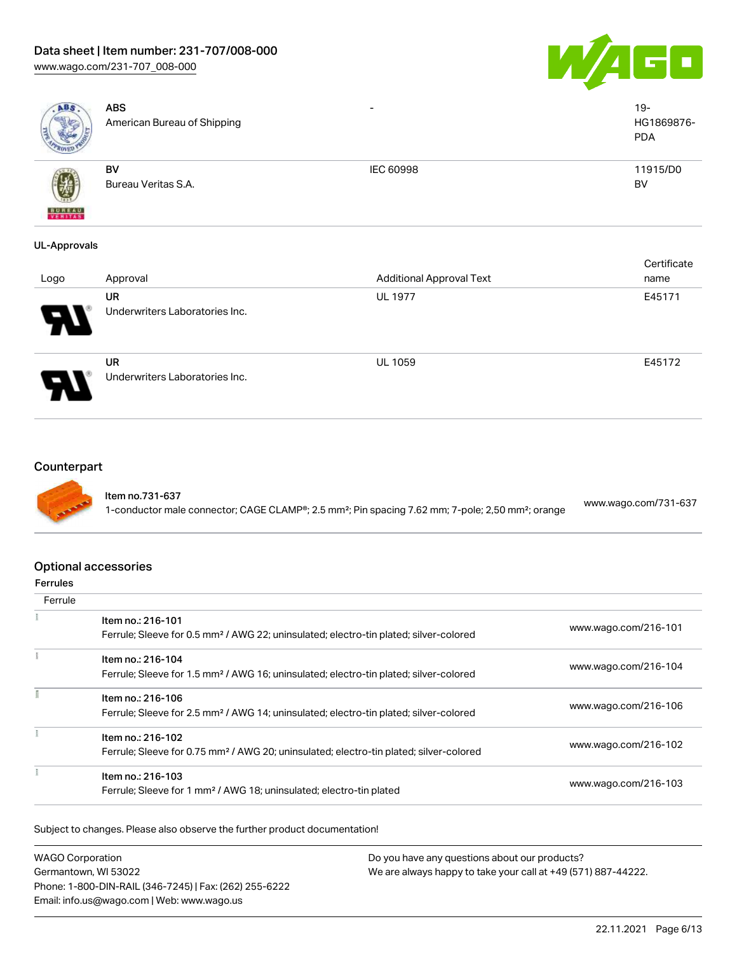# Data sheet | Item number: 231-707/008-000

[www.wago.com/231-707\\_008-000](http://www.wago.com/231-707_008-000)





| ABS.                | <b>ABS</b><br>American Bureau of Shipping | $\overline{\phantom{a}}$        | $19-$<br>HG1869876-<br><b>PDA</b> |
|---------------------|-------------------------------------------|---------------------------------|-----------------------------------|
|                     | <b>BV</b>                                 | <b>IEC 60998</b>                | 11915/D0                          |
|                     | Bureau Veritas S.A.                       |                                 | <b>BV</b>                         |
| <b>BUREAU</b>       |                                           |                                 |                                   |
| <b>UL-Approvals</b> |                                           |                                 |                                   |
|                     |                                           |                                 | Certificate                       |
| Logo                | Approval                                  | <b>Additional Approval Text</b> | name                              |
|                     | <b>UR</b>                                 | <b>UL 1977</b>                  | E45171                            |
| J                   | Underwriters Laboratories Inc.            |                                 |                                   |



UR Underwriters Laboratories Inc. UL 1059 E45172

#### **Counterpart**



Item no.731-637 1-conductor male connector; CAGE CLAMP®; 2.5 mm²; Pin spacing 7.62 mm; 7-pole; 2,50 mm²; orange [www.wago.com/731-637](https://www.wago.com/731-637)

### Optional accessories

#### Ferrules

| Ferrule |                                                                                                    |                      |
|---------|----------------------------------------------------------------------------------------------------|----------------------|
|         | Item no.: 216-101                                                                                  | www.wago.com/216-101 |
|         | Ferrule; Sleeve for 0.5 mm <sup>2</sup> / AWG 22; uninsulated; electro-tin plated; silver-colored  |                      |
|         | Item no.: 216-104                                                                                  |                      |
|         | Ferrule; Sleeve for 1.5 mm <sup>2</sup> / AWG 16; uninsulated; electro-tin plated; silver-colored  | www.wago.com/216-104 |
|         | Item no.: 216-106                                                                                  |                      |
|         | Ferrule; Sleeve for 2.5 mm <sup>2</sup> / AWG 14; uninsulated; electro-tin plated; silver-colored  | www.wago.com/216-106 |
|         | Item no.: 216-102                                                                                  |                      |
|         | Ferrule; Sleeve for 0.75 mm <sup>2</sup> / AWG 20; uninsulated; electro-tin plated; silver-colored | www.wago.com/216-102 |
|         | Item no.: 216-103                                                                                  |                      |
|         | Ferrule; Sleeve for 1 mm <sup>2</sup> / AWG 18; uninsulated; electro-tin plated                    | www.wago.com/216-103 |

Subject to changes. Please also observe the further product documentation!

WAGO Corporation Germantown, WI 53022 Phone: 1-800-DIN-RAIL (346-7245) | Fax: (262) 255-6222 Email: info.us@wago.com | Web: www.wago.us Do you have any questions about our products? We are always happy to take your call at +49 (571) 887-44222.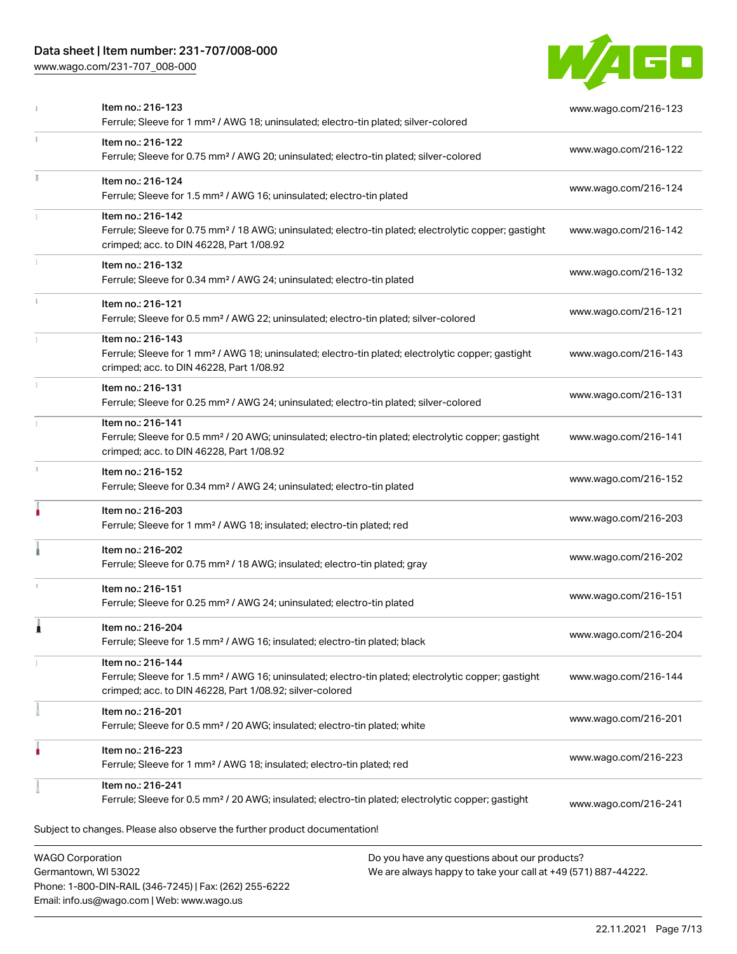# Data sheet | Item number: 231-707/008-000

Phone: 1-800-DIN-RAIL (346-7245) | Fax: (262) 255-6222

Email: info.us@wago.com | Web: www.wago.us

[www.wago.com/231-707\\_008-000](http://www.wago.com/231-707_008-000)



|              | Item no.: 216-123<br>Ferrule; Sleeve for 1 mm <sup>2</sup> / AWG 18; uninsulated; electro-tin plated; silver-colored                                                                              | www.wago.com/216-123                                                                                           |
|--------------|---------------------------------------------------------------------------------------------------------------------------------------------------------------------------------------------------|----------------------------------------------------------------------------------------------------------------|
| $\mathbf{1}$ | Item no.: 216-122<br>Ferrule; Sleeve for 0.75 mm <sup>2</sup> / AWG 20; uninsulated; electro-tin plated; silver-colored                                                                           | www.wago.com/216-122                                                                                           |
|              | Item no.: 216-124<br>Ferrule; Sleeve for 1.5 mm <sup>2</sup> / AWG 16; uninsulated; electro-tin plated                                                                                            | www.wago.com/216-124                                                                                           |
|              | Item no.: 216-142<br>Ferrule; Sleeve for 0.75 mm <sup>2</sup> / 18 AWG; uninsulated; electro-tin plated; electrolytic copper; gastight<br>crimped; acc. to DIN 46228, Part 1/08.92                | www.wago.com/216-142                                                                                           |
|              | Item no.: 216-132<br>Ferrule; Sleeve for 0.34 mm <sup>2</sup> / AWG 24; uninsulated; electro-tin plated                                                                                           | www.wago.com/216-132                                                                                           |
|              | Item no.: 216-121<br>Ferrule; Sleeve for 0.5 mm <sup>2</sup> / AWG 22; uninsulated; electro-tin plated; silver-colored                                                                            | www.wago.com/216-121                                                                                           |
|              | Item no.: 216-143<br>Ferrule; Sleeve for 1 mm <sup>2</sup> / AWG 18; uninsulated; electro-tin plated; electrolytic copper; gastight<br>crimped; acc. to DIN 46228, Part 1/08.92                   | www.wago.com/216-143                                                                                           |
|              | Item no.: 216-131<br>Ferrule; Sleeve for 0.25 mm <sup>2</sup> / AWG 24; uninsulated; electro-tin plated; silver-colored                                                                           | www.wago.com/216-131                                                                                           |
|              | Item no.: 216-141<br>Ferrule; Sleeve for 0.5 mm <sup>2</sup> / 20 AWG; uninsulated; electro-tin plated; electrolytic copper; gastight<br>crimped; acc. to DIN 46228, Part 1/08.92                 | www.wago.com/216-141                                                                                           |
|              | Item no.: 216-152<br>Ferrule; Sleeve for 0.34 mm <sup>2</sup> / AWG 24; uninsulated; electro-tin plated                                                                                           | www.wago.com/216-152                                                                                           |
|              | Item no.: 216-203<br>Ferrule; Sleeve for 1 mm <sup>2</sup> / AWG 18; insulated; electro-tin plated; red                                                                                           | www.wago.com/216-203                                                                                           |
|              | Item no.: 216-202<br>Ferrule; Sleeve for 0.75 mm <sup>2</sup> / 18 AWG; insulated; electro-tin plated; gray                                                                                       | www.wago.com/216-202                                                                                           |
|              | Item no.: 216-151<br>Ferrule; Sleeve for 0.25 mm <sup>2</sup> / AWG 24; uninsulated; electro-tin plated                                                                                           | www.wago.com/216-151                                                                                           |
|              | Item no.: 216-204<br>Ferrule; Sleeve for 1.5 mm <sup>2</sup> / AWG 16; insulated; electro-tin plated; black                                                                                       | www.wago.com/216-204                                                                                           |
|              | Item no.: 216-144<br>Ferrule; Sleeve for 1.5 mm <sup>2</sup> / AWG 16; uninsulated; electro-tin plated; electrolytic copper; gastight<br>crimped; acc. to DIN 46228, Part 1/08.92; silver-colored | www.wago.com/216-144                                                                                           |
|              | Item no.: 216-201<br>Ferrule; Sleeve for 0.5 mm <sup>2</sup> / 20 AWG; insulated; electro-tin plated; white                                                                                       | www.wago.com/216-201                                                                                           |
|              | Item no.: 216-223<br>Ferrule; Sleeve for 1 mm <sup>2</sup> / AWG 18; insulated; electro-tin plated; red                                                                                           | www.wago.com/216-223                                                                                           |
|              | Item no.: 216-241<br>Ferrule; Sleeve for 0.5 mm <sup>2</sup> / 20 AWG; insulated; electro-tin plated; electrolytic copper; gastight                                                               | www.wago.com/216-241                                                                                           |
|              | Subject to changes. Please also observe the further product documentation!                                                                                                                        |                                                                                                                |
|              | <b>WAGO Corporation</b><br>Germantown, WI 53022                                                                                                                                                   | Do you have any questions about our products?<br>We are always happy to take your call at +49 (571) 887-44222. |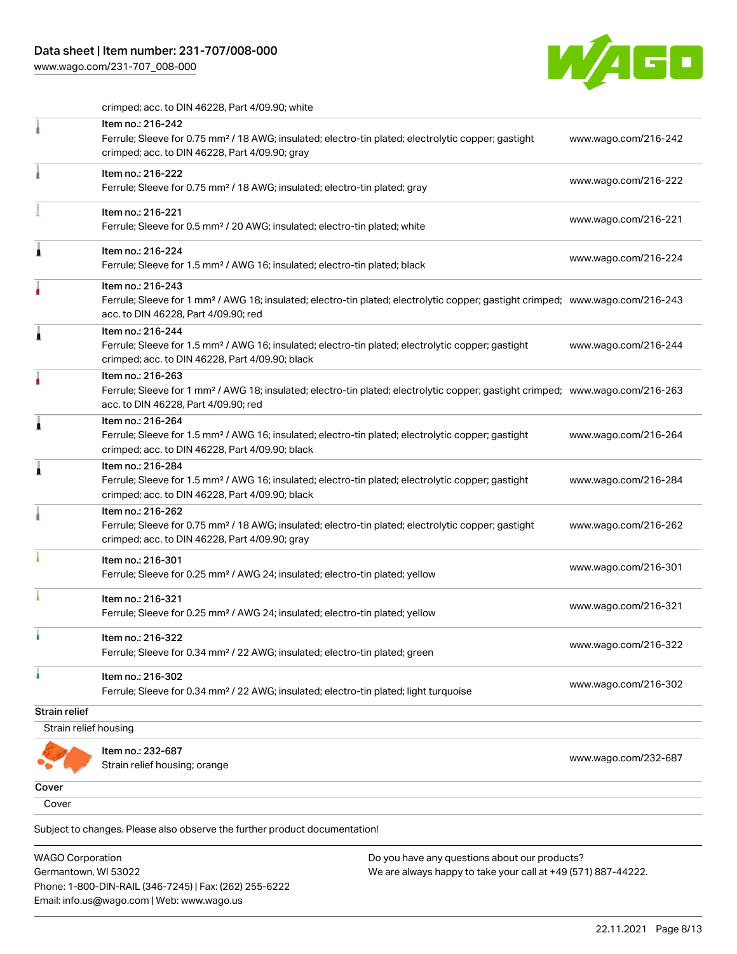

crimped; acc. to DIN 46228, Part 4/09.90; white

|                       | Item no.: 216-242                                                                                                                                                                                       |                      |
|-----------------------|---------------------------------------------------------------------------------------------------------------------------------------------------------------------------------------------------------|----------------------|
|                       | Ferrule; Sleeve for 0.75 mm <sup>2</sup> / 18 AWG; insulated; electro-tin plated; electrolytic copper; gastight<br>crimped; acc. to DIN 46228, Part 4/09.90; gray                                       | www.wago.com/216-242 |
|                       | Item no.: 216-222<br>Ferrule; Sleeve for 0.75 mm <sup>2</sup> / 18 AWG; insulated; electro-tin plated; gray                                                                                             | www.wago.com/216-222 |
|                       | Item no.: 216-221<br>Ferrule; Sleeve for 0.5 mm <sup>2</sup> / 20 AWG; insulated; electro-tin plated; white                                                                                             | www.wago.com/216-221 |
| 1                     | Item no.: 216-224<br>Ferrule; Sleeve for 1.5 mm <sup>2</sup> / AWG 16; insulated; electro-tin plated; black                                                                                             | www.wago.com/216-224 |
|                       | Item no.: 216-243<br>Ferrule; Sleeve for 1 mm <sup>2</sup> / AWG 18; insulated; electro-tin plated; electrolytic copper; gastight crimped; www.wago.com/216-243<br>acc. to DIN 46228, Part 4/09.90; red |                      |
| 1                     | Item no.: 216-244<br>Ferrule; Sleeve for 1.5 mm <sup>2</sup> / AWG 16; insulated; electro-tin plated; electrolytic copper; gastight<br>crimped; acc. to DIN 46228, Part 4/09.90; black                  | www.wago.com/216-244 |
| ۸                     | Item no.: 216-263<br>Ferrule; Sleeve for 1 mm <sup>2</sup> / AWG 18; insulated; electro-tin plated; electrolytic copper; gastight crimped; www.wago.com/216-263<br>acc. to DIN 46228, Part 4/09.90; red |                      |
| 1                     | Item no.: 216-264<br>Ferrule; Sleeve for 1.5 mm <sup>2</sup> / AWG 16; insulated; electro-tin plated; electrolytic copper; gastight<br>crimped; acc. to DIN 46228, Part 4/09.90; black                  | www.wago.com/216-264 |
| £                     | Item no.: 216-284<br>Ferrule; Sleeve for 1.5 mm <sup>2</sup> / AWG 16; insulated; electro-tin plated; electrolytic copper; gastight<br>crimped; acc. to DIN 46228, Part 4/09.90; black                  | www.wago.com/216-284 |
|                       | Item no.: 216-262<br>Ferrule; Sleeve for 0.75 mm <sup>2</sup> / 18 AWG; insulated; electro-tin plated; electrolytic copper; gastight<br>crimped; acc. to DIN 46228, Part 4/09.90; gray                  | www.wago.com/216-262 |
|                       | Item no.: 216-301<br>Ferrule; Sleeve for 0.25 mm <sup>2</sup> / AWG 24; insulated; electro-tin plated; yellow                                                                                           | www.wago.com/216-301 |
|                       | Item no.: 216-321<br>Ferrule; Sleeve for 0.25 mm <sup>2</sup> / AWG 24; insulated; electro-tin plated; yellow                                                                                           | www.wago.com/216-321 |
|                       | Item no.: 216-322<br>Ferrule; Sleeve for 0.34 mm <sup>2</sup> / 22 AWG; insulated; electro-tin plated; green                                                                                            | www.wago.com/216-322 |
| ł                     | Item no.: 216-302<br>Ferrule; Sleeve for 0.34 mm <sup>2</sup> / 22 AWG; insulated; electro-tin plated; light turquoise                                                                                  | www.wago.com/216-302 |
| <b>Strain relief</b>  |                                                                                                                                                                                                         |                      |
| Strain relief housing |                                                                                                                                                                                                         |                      |
|                       | Item no.: 232-687<br>Strain relief housing; orange                                                                                                                                                      | www.wago.com/232-687 |
| Cover                 |                                                                                                                                                                                                         |                      |
| Cover                 |                                                                                                                                                                                                         |                      |
|                       |                                                                                                                                                                                                         |                      |

Subject to changes. Please also observe the further product documentation!

WAGO Corporation Germantown, WI 53022 Phone: 1-800-DIN-RAIL (346-7245) | Fax: (262) 255-6222 Email: info.us@wago.com | Web: www.wago.us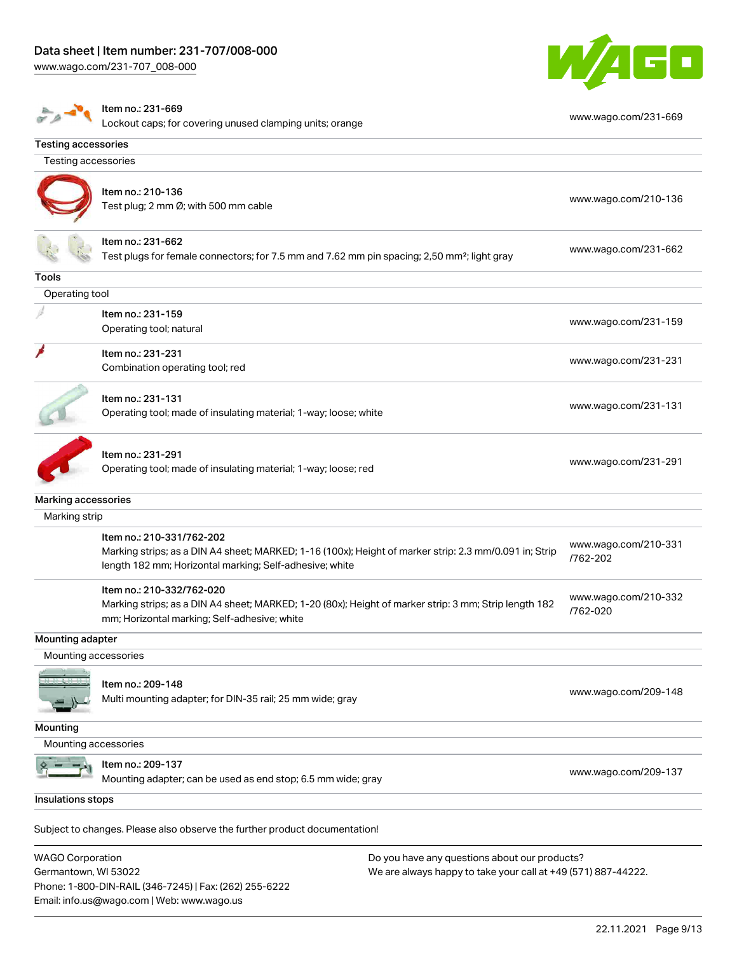

|                            | Item no.: 231-669<br>Lockout caps; for covering unused clamping units; orange                                                                         | www.wago.com/231-669 |
|----------------------------|-------------------------------------------------------------------------------------------------------------------------------------------------------|----------------------|
| <b>Testing accessories</b> |                                                                                                                                                       |                      |
| Testing accessories        |                                                                                                                                                       |                      |
|                            |                                                                                                                                                       |                      |
|                            | Item no.: 210-136                                                                                                                                     | www.wago.com/210-136 |
|                            | Test plug; 2 mm Ø; with 500 mm cable                                                                                                                  |                      |
|                            | Item no.: 231-662                                                                                                                                     | www.wago.com/231-662 |
|                            | Test plugs for female connectors; for 7.5 mm and 7.62 mm pin spacing; 2,50 mm <sup>2</sup> ; light gray                                               |                      |
| Tools                      |                                                                                                                                                       |                      |
| Operating tool             |                                                                                                                                                       |                      |
|                            | Item no.: 231-159                                                                                                                                     | www.wago.com/231-159 |
|                            | Operating tool; natural                                                                                                                               |                      |
|                            | Item no.: 231-231                                                                                                                                     |                      |
|                            | Combination operating tool; red                                                                                                                       | www.wago.com/231-231 |
|                            |                                                                                                                                                       |                      |
|                            | Item no.: 231-131                                                                                                                                     | www.wago.com/231-131 |
|                            | Operating tool; made of insulating material; 1-way; loose; white                                                                                      |                      |
|                            | Item no.: 231-291                                                                                                                                     |                      |
|                            | Operating tool; made of insulating material; 1-way; loose; red                                                                                        | www.wago.com/231-291 |
|                            |                                                                                                                                                       |                      |
| Marking accessories        |                                                                                                                                                       |                      |
| Marking strip              |                                                                                                                                                       |                      |
|                            | Item no.: 210-331/762-202                                                                                                                             | www.wago.com/210-331 |
|                            | Marking strips; as a DIN A4 sheet; MARKED; 1-16 (100x); Height of marker strip: 2.3 mm/0.091 in; Strip                                                | /762-202             |
|                            | length 182 mm; Horizontal marking; Self-adhesive; white                                                                                               |                      |
|                            | Item no.: 210-332/762-020                                                                                                                             | www.wago.com/210-332 |
|                            | Marking strips; as a DIN A4 sheet; MARKED; 1-20 (80x); Height of marker strip: 3 mm; Strip length 182<br>mm; Horizontal marking; Self-adhesive; white | /762-020             |
| Mounting adapter           |                                                                                                                                                       |                      |
| Mounting accessories       |                                                                                                                                                       |                      |
|                            |                                                                                                                                                       |                      |
|                            | Item no.: 209-148                                                                                                                                     | www.wago.com/209-148 |
|                            | Multi mounting adapter; for DIN-35 rail; 25 mm wide; gray                                                                                             |                      |
| Mounting                   |                                                                                                                                                       |                      |
| Mounting accessories       |                                                                                                                                                       |                      |
|                            | Item no.: 209-137                                                                                                                                     | www.wago.com/209-137 |
|                            | Mounting adapter; can be used as end stop; 6.5 mm wide; gray                                                                                          |                      |
| Insulations stops          |                                                                                                                                                       |                      |
|                            |                                                                                                                                                       |                      |
|                            | Subject to changes. Please also observe the further product documentation!                                                                            |                      |
|                            |                                                                                                                                                       |                      |

WAGO Corporation Germantown, WI 53022 Phone: 1-800-DIN-RAIL (346-7245) | Fax: (262) 255-6222 Email: info.us@wago.com | Web: www.wago.us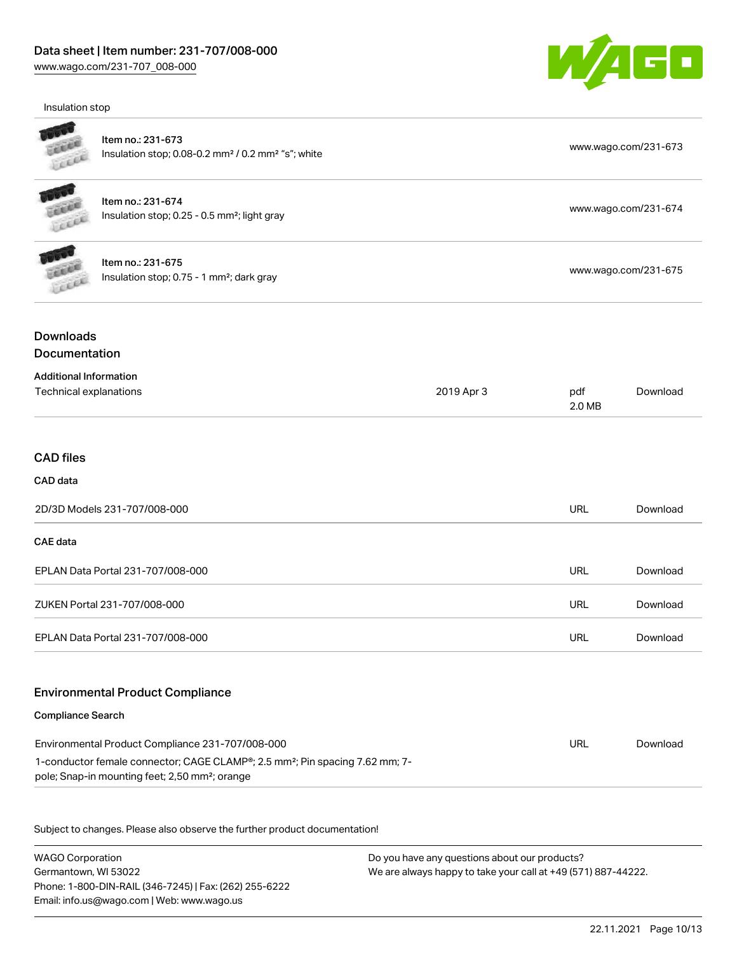Insulation stop



|                                                         | Item no.: 231-673<br>Insulation stop; 0.08-0.2 mm <sup>2</sup> / 0.2 mm <sup>2</sup> "s"; white                                                        |            |               | www.wago.com/231-673 |  |
|---------------------------------------------------------|--------------------------------------------------------------------------------------------------------------------------------------------------------|------------|---------------|----------------------|--|
| LEKER                                                   | Item no.: 231-674<br>Insulation stop; 0.25 - 0.5 mm <sup>2</sup> ; light gray                                                                          |            |               | www.wago.com/231-674 |  |
|                                                         | Item no.: 231-675<br>Insulation stop; 0.75 - 1 mm <sup>2</sup> ; dark gray                                                                             |            |               | www.wago.com/231-675 |  |
| <b>Downloads</b><br><b>Documentation</b>                |                                                                                                                                                        |            |               |                      |  |
| <b>Additional Information</b><br>Technical explanations |                                                                                                                                                        | 2019 Apr 3 | pdf<br>2.0 MB | Download             |  |
| <b>CAD</b> files                                        |                                                                                                                                                        |            |               |                      |  |
| CAD data                                                |                                                                                                                                                        |            |               |                      |  |
|                                                         | 2D/3D Models 231-707/008-000                                                                                                                           |            | <b>URL</b>    | Download             |  |
| CAE data                                                |                                                                                                                                                        |            |               |                      |  |
|                                                         | EPLAN Data Portal 231-707/008-000                                                                                                                      |            | <b>URL</b>    | Download             |  |
|                                                         | ZUKEN Portal 231-707/008-000                                                                                                                           |            | <b>URL</b>    | Download             |  |
|                                                         | EPLAN Data Portal 231-707/008-000                                                                                                                      |            | <b>URL</b>    | Download             |  |
|                                                         | <b>Environmental Product Compliance</b>                                                                                                                |            |               |                      |  |
| <b>Compliance Search</b>                                |                                                                                                                                                        |            |               |                      |  |
|                                                         | Environmental Product Compliance 231-707/008-000                                                                                                       |            | <b>URL</b>    | Download             |  |
|                                                         | 1-conductor female connector; CAGE CLAMP®; 2.5 mm <sup>2</sup> ; Pin spacing 7.62 mm; 7-<br>pole; Snap-in mounting feet; 2,50 mm <sup>2</sup> ; orange |            |               |                      |  |
|                                                         | Subject to changes. Please also observe the further product documentation!                                                                             |            |               |                      |  |

WAGO Corporation Germantown, WI 53022 Phone: 1-800-DIN-RAIL (346-7245) | Fax: (262) 255-6222 Email: info.us@wago.com | Web: www.wago.us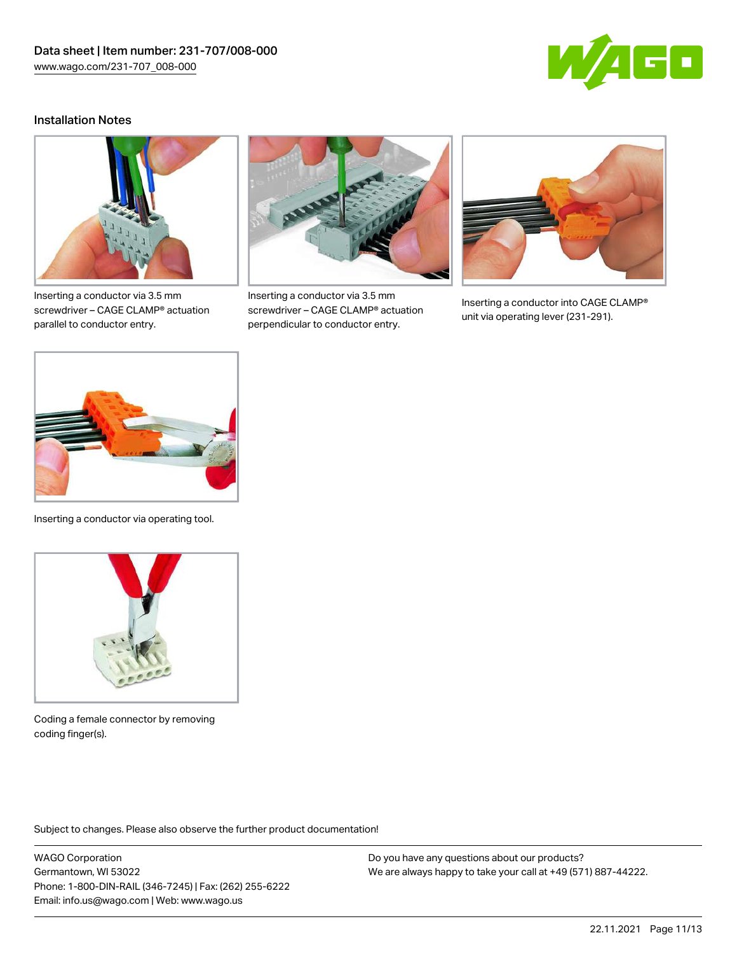

### Installation Notes



Inserting a conductor via 3.5 mm screwdriver – CAGE CLAMP® actuation parallel to conductor entry.



Inserting a conductor via 3.5 mm screwdriver – CAGE CLAMP® actuation perpendicular to conductor entry.



Inserting a conductor into CAGE CLAMP® unit via operating lever (231-291).



Inserting a conductor via operating tool.



Coding a female connector by removing coding finger(s).

Subject to changes. Please also observe the further product documentation!

WAGO Corporation Germantown, WI 53022 Phone: 1-800-DIN-RAIL (346-7245) | Fax: (262) 255-6222 Email: info.us@wago.com | Web: www.wago.us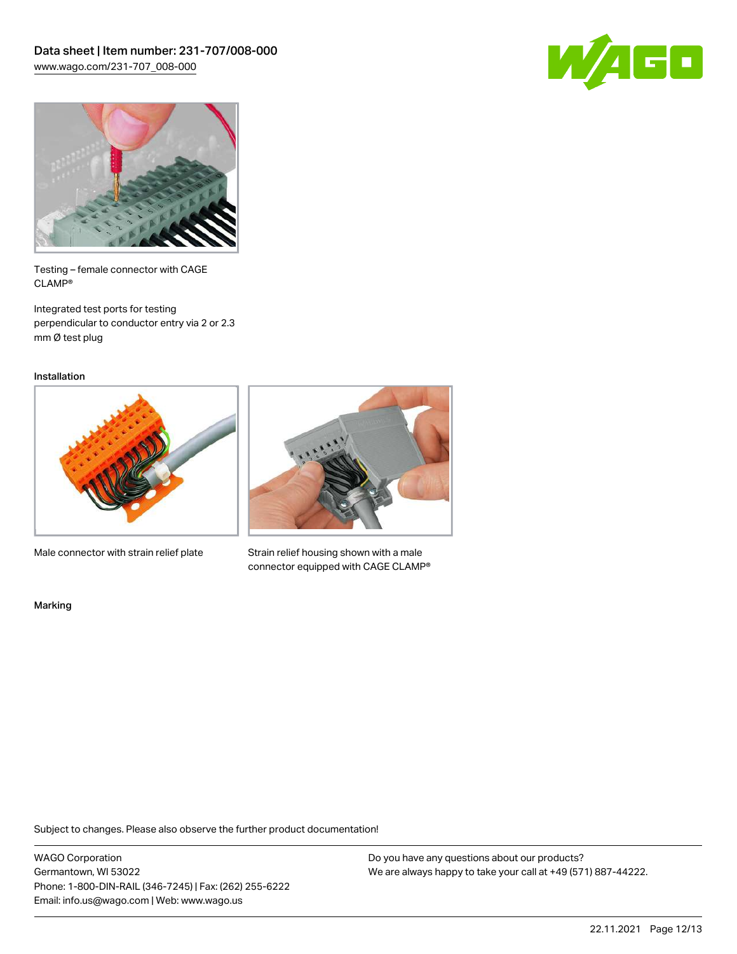



Testing – female connector with CAGE CLAMP®

Integrated test ports for testing perpendicular to conductor entry via 2 or 2.3 mm Ø test plug

Installation



Male connector with strain relief plate



Strain relief housing shown with a male connector equipped with CAGE CLAMP®

Marking

Subject to changes. Please also observe the further product documentation!

WAGO Corporation Germantown, WI 53022 Phone: 1-800-DIN-RAIL (346-7245) | Fax: (262) 255-6222 Email: info.us@wago.com | Web: www.wago.us